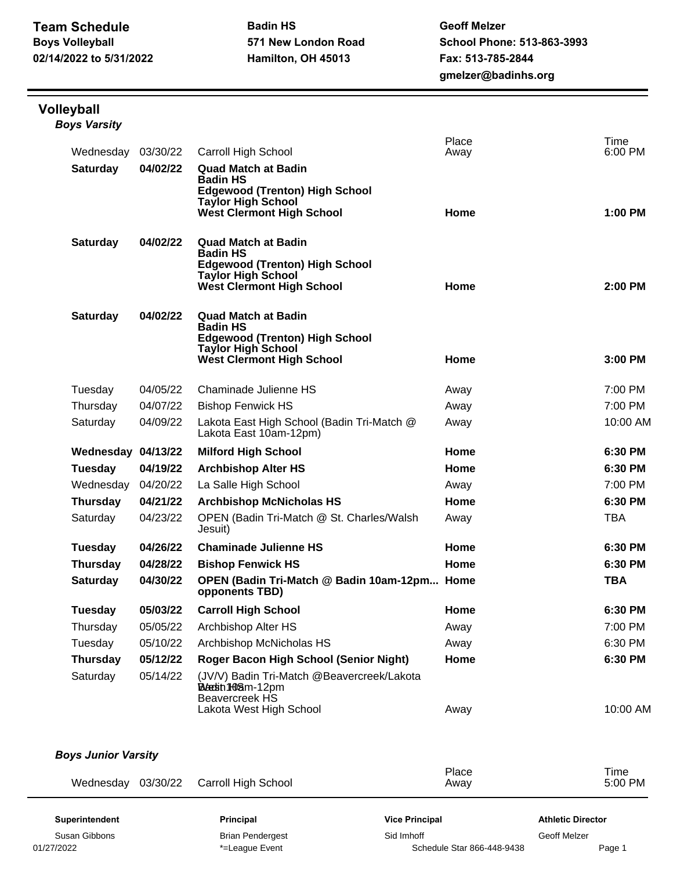## **Volleyball** *Boys Varsity*

| Wednesday          | 03/30/22 | <b>Carroll High School</b>                                           | Place<br>Away | Time<br>6:00 PM |
|--------------------|----------|----------------------------------------------------------------------|---------------|-----------------|
| <b>Saturday</b>    | 04/02/22 | <b>Quad Match at Badin</b>                                           |               |                 |
|                    |          | <b>Badin HS</b><br><b>Edgewood (Trenton) High School</b>             |               |                 |
|                    |          | <b>Taylor High School</b>                                            |               |                 |
|                    |          | <b>West Clermont High School</b>                                     | Home          | $1:00$ PM       |
| <b>Saturday</b>    | 04/02/22 | <b>Quad Match at Badin</b>                                           |               |                 |
|                    |          | <b>Badin HS</b><br><b>Edgewood (Trenton) High School</b>             |               |                 |
|                    |          | <b>Taylor High School</b>                                            |               |                 |
|                    |          | <b>West Clermont High School</b>                                     | Home          | 2:00 PM         |
| <b>Saturday</b>    | 04/02/22 | <b>Quad Match at Badin</b>                                           |               |                 |
|                    |          | <b>Badin HS</b><br><b>Edgewood (Trenton) High School</b>             |               |                 |
|                    |          | <b>Taylor High School</b>                                            |               |                 |
|                    |          | <b>West Clermont High School</b>                                     | Home          | 3:00 PM         |
| Tuesday            | 04/05/22 | Chaminade Julienne HS                                                | Away          | 7:00 PM         |
| Thursday           | 04/07/22 | <b>Bishop Fenwick HS</b>                                             | Away          | 7:00 PM         |
| Saturday           | 04/09/22 | Lakota East High School (Badin Tri-Match @<br>Lakota East 10am-12pm) | Away          | 10:00 AM        |
| Wednesday 04/13/22 |          | <b>Milford High School</b>                                           | Home          | 6:30 PM         |
| Tuesday            | 04/19/22 | <b>Archbishop Alter HS</b>                                           | Home          | 6:30 PM         |
| Wednesday          | 04/20/22 | La Salle High School                                                 | Away          | 7:00 PM         |
| <b>Thursday</b>    | 04/21/22 | <b>Archbishop McNicholas HS</b>                                      | Home          | 6:30 PM         |
| Saturday           | 04/23/22 | OPEN (Badin Tri-Match @ St. Charles/Walsh<br>Jesuit)                 | Away          | <b>TBA</b>      |
| <b>Tuesday</b>     | 04/26/22 | <b>Chaminade Julienne HS</b>                                         | Home          | 6:30 PM         |
| <b>Thursday</b>    | 04/28/22 | <b>Bishop Fenwick HS</b>                                             | Home          | 6:30 PM         |
| <b>Saturday</b>    | 04/30/22 | OPEN (Badin Tri-Match @ Badin 10am-12pm Home<br>opponents TBD)       |               | <b>TBA</b>      |
| Tuesday            | 05/03/22 | <b>Carroll High School</b>                                           | Home          | 6:30 PM         |
| Thursday           | 05/05/22 | Archbishop Alter HS                                                  | Away          | 7:00 PM         |
| Tuesday            | 05/10/22 | Archbishop McNicholas HS                                             | Away          | 6:30 PM         |
| <b>Thursday</b>    | 05/12/22 | Roger Bacon High School (Senior Night)                               | Home          | 6:30 PM         |
|                    | 05/14/22 | (JV/V) Badin Tri-Match @Beavercreek/Lakota                           |               |                 |
| Saturday           |          | <b>Bleetin 1–0</b> 8m-12pm<br><b>Beavercreek HS</b>                  |               |                 |

| <b>Boys Junior Varsity</b> |                         |                            |                          |  |  |  |  |
|----------------------------|-------------------------|----------------------------|--------------------------|--|--|--|--|
| 03/30/22<br>Wednesday      | Carroll High School     | Place<br>Away              | Time<br>$5:00$ PM        |  |  |  |  |
| <b>Superintendent</b>      | <b>Principal</b>        | <b>Vice Principal</b>      | <b>Athletic Director</b> |  |  |  |  |
| Susan Gibbons              | <b>Brian Pendergest</b> | Sid Imhoff                 | Geoff Melzer             |  |  |  |  |
| 01/27/2022                 | *=League Event          | Schedule Star 866-448-9438 | Page 1                   |  |  |  |  |